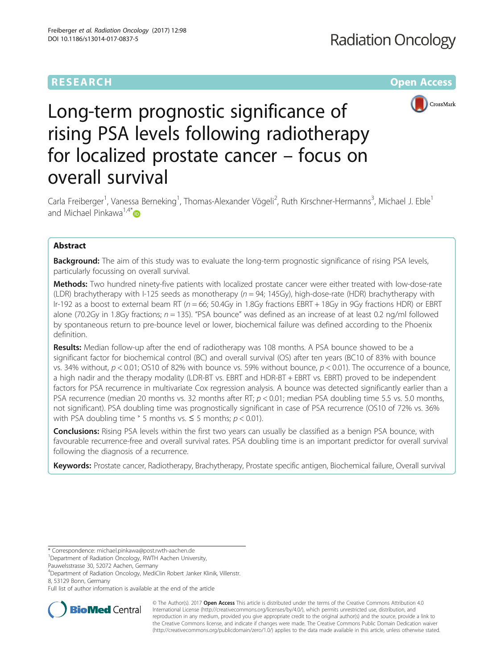# RESEARCH **RESEARCH CONSUMING THE CONSUMING THE CONSUMING THE CONSUMING TEAM Open Access**



# Long-term prognostic significance of rising PSA levels following radiotherapy for localized prostate cancer – focus on overall survival

Carla Freiberger<sup>1</sup>, Vanessa Berneking<sup>1</sup>, Thomas-Alexander Vögeli<sup>2</sup>, Ruth Kirschner-Hermanns<sup>3</sup>, Michael J. Eble<sup>1</sup> and Michael Pinkawa<sup>1,4[\\*](http://orcid.org/0000-0002-6450-297X)</sup> $\bullet$ 

# Abstract

**Background:** The aim of this study was to evaluate the long-term prognostic significance of rising PSA levels, particularly focussing on overall survival.

Methods: Two hundred ninety-five patients with localized prostate cancer were either treated with low-dose-rate (LDR) brachytherapy with I-125 seeds as monotherapy ( $n = 94$ ; 145Gy), high-dose-rate (HDR) brachytherapy with Ir-192 as a boost to external beam RT ( $n = 66$ ; 50.4Gy in 1.8Gy fractions EBRT + 18Gy in 9Gy fractions HDR) or EBRT alone (70.2Gy in 1.8Gy fractions;  $n = 135$ ). "PSA bounce" was defined as an increase of at least 0.2 ng/ml followed by spontaneous return to pre-bounce level or lower, biochemical failure was defined according to the Phoenix definition.

Results: Median follow-up after the end of radiotherapy was 108 months. A PSA bounce showed to be a significant factor for biochemical control (BC) and overall survival (OS) after ten years (BC10 of 83% with bounce vs. 34% without,  $p < 0.01$ ; OS10 of 82% with bounce vs. 59% without bounce,  $p < 0.01$ ). The occurrence of a bounce, a high nadir and the therapy modality (LDR-BT vs. EBRT and HDR-BT + EBRT vs. EBRT) proved to be independent factors for PSA recurrence in multivariate Cox regression analysis. A bounce was detected significantly earlier than a PSA recurrence (median 20 months vs. 32 months after RT;  $p < 0.01$ ; median PSA doubling time 5.5 vs. 5.0 months, not significant). PSA doubling time was prognostically significant in case of PSA recurrence (OS10 of 72% vs. 36% with PSA doubling time  $\degree$  5 months vs.  $\leq$  5 months;  $p$  < 0.01).

**Conclusions:** Rising PSA levels within the first two years can usually be classified as a benign PSA bounce, with favourable recurrence-free and overall survival rates. PSA doubling time is an important predictor for overall survival following the diagnosis of a recurrence.

Keywords: Prostate cancer, Radiotherapy, Brachytherapy, Prostate specific antigen, Biochemical failure, Overall survival

\* Correspondence: [michael.pinkawa@post.rwth-aachen.de](mailto:michael.pinkawa@post.rwth-aachen.de) <sup>1</sup>

Pauwelsstrasse 30, 52072 Aachen, Germany

4 Department of Radiation Oncology, MediClin Robert Janker Klinik, Villenstr. 8, 53129 Bonn, Germany

Full list of author information is available at the end of the article



© The Author(s). 2017 **Open Access** This article is distributed under the terms of the Creative Commons Attribution 4.0 International License [\(http://creativecommons.org/licenses/by/4.0/](http://creativecommons.org/licenses/by/4.0/)), which permits unrestricted use, distribution, and reproduction in any medium, provided you give appropriate credit to the original author(s) and the source, provide a link to the Creative Commons license, and indicate if changes were made. The Creative Commons Public Domain Dedication waiver [\(http://creativecommons.org/publicdomain/zero/1.0/](http://creativecommons.org/publicdomain/zero/1.0/)) applies to the data made available in this article, unless otherwise stated.

Department of Radiation Oncology, RWTH Aachen University,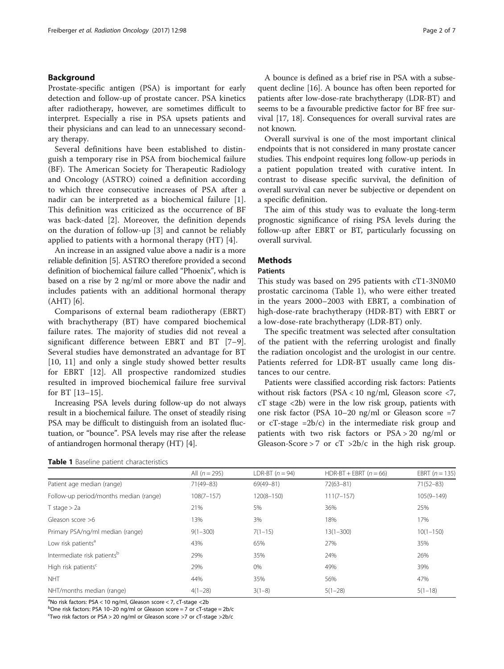# Background

Prostate-specific antigen (PSA) is important for early detection and follow-up of prostate cancer. PSA kinetics after radiotherapy, however, are sometimes difficult to interpret. Especially a rise in PSA upsets patients and their physicians and can lead to an unnecessary secondary therapy.

Several definitions have been established to distinguish a temporary rise in PSA from biochemical failure (BF). The American Society for Therapeutic Radiology and Oncology (ASTRO) coined a definition according to which three consecutive increases of PSA after a nadir can be interpreted as a biochemical failure [[1](#page-6-0)]. This definition was criticized as the occurrence of BF was back-dated [[2\]](#page-6-0). Moreover, the definition depends on the duration of follow-up [[3\]](#page-6-0) and cannot be reliably applied to patients with a hormonal therapy (HT) [\[4](#page-6-0)].

An increase in an assigned value above a nadir is a more reliable definition [\[5](#page-6-0)]. ASTRO therefore provided a second definition of biochemical failure called "Phoenix", which is based on a rise by 2 ng/ml or more above the nadir and includes patients with an additional hormonal therapy (AHT) [\[6](#page-6-0)].

Comparisons of external beam radiotherapy (EBRT) with brachytherapy (BT) have compared biochemical failure rates. The majority of studies did not reveal a significant difference between EBRT and BT [\[7](#page-6-0)–[9](#page-6-0)]. Several studies have demonstrated an advantage for BT [[10, 11](#page-6-0)] and only a single study showed better results for EBRT [[12\]](#page-6-0). All prospective randomized studies resulted in improved biochemical failure free survival for BT [\[13](#page-6-0)–[15](#page-6-0)].

Increasing PSA levels during follow-up do not always result in a biochemical failure. The onset of steadily rising PSA may be difficult to distinguish from an isolated fluctuation, or "bounce". PSA levels may rise after the release of antiandrogen hormonal therapy (HT) [[4\]](#page-6-0).

A bounce is defined as a brief rise in PSA with a subsequent decline [\[16\]](#page-6-0). A bounce has often been reported for patients after low-dose-rate brachytherapy (LDR-BT) and seems to be a favourable predictive factor for BF free survival [\[17](#page-6-0), [18](#page-6-0)]. Consequences for overall survival rates are not known.

Overall survival is one of the most important clinical endpoints that is not considered in many prostate cancer studies. This endpoint requires long follow-up periods in a patient population treated with curative intent. In contrast to disease specific survival, the definition of overall survival can never be subjective or dependent on a specific definition.

The aim of this study was to evaluate the long-term prognostic significance of rising PSA levels during the follow-up after EBRT or BT, particularly focussing on overall survival.

#### **Methods**

### **Patients**

This study was based on 295 patients with cT1-3N0M0 prostatic carcinoma (Table 1), who were either treated in the years 2000–2003 with EBRT, a combination of high-dose-rate brachytherapy (HDR-BT) with EBRT or a low-dose-rate brachytherapy (LDR-BT) only.

The specific treatment was selected after consultation of the patient with the referring urologist and finally the radiation oncologist and the urologist in our centre. Patients referred for LDR-BT usually came long distances to our centre.

Patients were classified according risk factors: Patients without risk factors (PSA < 10 ng/ml, Gleason score <7, cT stage <2b) were in the low risk group, patients with one risk factor (PSA 10–20 ng/ml or Gleason score =7 or  $cT$ -stage =2b/ $c$ ) in the intermediate risk group and patients with two risk factors or PSA > 20 ng/ml or Gleason-Score > 7 or  $cT$  >2b/c in the high risk group.

| Table 1 Baseline patient characteristics |  |  |
|------------------------------------------|--|--|
|------------------------------------------|--|--|

|                                         | All $(n = 295)$ | LDR-BT $(n = 94)$ | HDR-BT + EBRT $(n = 66)$ | EBRT $(n = 135)$ |
|-----------------------------------------|-----------------|-------------------|--------------------------|------------------|
| Patient age median (range)              | 71(49-83)       | $69(49 - 81)$     | $72(63 - 81)$            | $71(52 - 83)$    |
| Follow-up period/months median (range)  | $108(7 - 157)$  | $120(8 - 150)$    | $111(7-157)$             | $105(9 - 149)$   |
| $T$ stage $> 2a$                        | 21%             | 5%                | 36%                      | 25%              |
| Gleason score $>6$                      | 13%             | 3%                | 18%                      | 17%              |
| Primary PSA/ng/ml median (range)        | $9(1 - 300)$    | $7(1-15)$         | $13(1 - 300)$            | $10(1 - 150)$    |
| Low risk patients <sup>a</sup>          | 43%             | 65%               | 27%                      | 35%              |
| Intermediate risk patients <sup>b</sup> | 29%             | 35%               | 24%                      | 26%              |
| High risk patients <sup>c</sup>         | 29%             | 0%                | 49%                      | 39%              |
| <b>NHT</b>                              | 44%             | 35%               | 56%                      | 47%              |
| NHT/months median (range)               | $4(1-28)$       | $3(1-8)$          | $5(1-28)$                | $5(1-18)$        |

<sup>a</sup>No risk factors: PSA < 10 ng/ml, Gleason score < 7, cT-stage < 2b

b<sub>one risk factors: PSA 10–20 ng/ml or Gleason score = 7 or cT-stage = 2b/c<br>Stwo risk factors or PSA > 20 ng/ml or Gleason score > 7 or cT-stage > 2b/c</sub>

Two risk factors or PSA > 20 ng/ml or Gleason score >7 or cT-stage >2b/c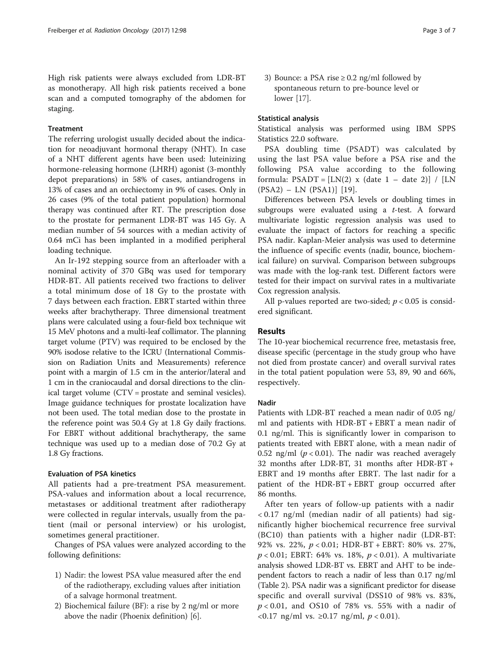High risk patients were always excluded from LDR-BT as monotherapy. All high risk patients received a bone scan and a computed tomography of the abdomen for staging.

### Treatment

The referring urologist usually decided about the indication for neoadjuvant hormonal therapy (NHT). In case of a NHT different agents have been used: luteinizing hormone-releasing hormone (LHRH) agonist (3-monthly depot preparations) in 58% of cases, antiandrogens in 13% of cases and an orchiectomy in 9% of cases. Only in 26 cases (9% of the total patient population) hormonal therapy was continued after RT. The prescription dose to the prostate for permanent LDR-BT was 145 Gy. A median number of 54 sources with a median activity of 0.64 mCi has been implanted in a modified peripheral loading technique.

An Ir-192 stepping source from an afterloader with a nominal activity of 370 GBq was used for temporary HDR-BT. All patients received two fractions to deliver a total minimum dose of 18 Gy to the prostate with 7 days between each fraction. EBRT started within three weeks after brachytherapy. Three dimensional treatment plans were calculated using a four-field box technique wit 15 MeV photons and a multi-leaf collimator. The planning target volume (PTV) was required to be enclosed by the 90% isodose relative to the ICRU (International Commission on Radiation Units and Measurements) reference point with a margin of 1.5 cm in the anterior/lateral and 1 cm in the craniocaudal and dorsal directions to the clinical target volume (CTV = prostate and seminal vesicles). Image guidance techniques for prostate localization have not been used. The total median dose to the prostate in the reference point was 50.4 Gy at 1.8 Gy daily fractions. For EBRT without additional brachytherapy, the same technique was used up to a median dose of 70.2 Gy at 1.8 Gy fractions.

### Evaluation of PSA kinetics

All patients had a pre-treatment PSA measurement. PSA-values and information about a local recurrence, metastases or additional treatment after radiotherapy were collected in regular intervals, usually from the patient (mail or personal interview) or his urologist, sometimes general practitioner.

Changes of PSA values were analyzed according to the following definitions:

- 1) Nadir: the lowest PSA value measured after the end of the radiotherapy, excluding values after initiation of a salvage hormonal treatment.
- 2) Biochemical failure (BF): a rise by 2 ng/ml or more above the nadir (Phoenix definition) [\[6\]](#page-6-0).

3) Bounce: a PSA rise  $\geq$  0.2 ng/ml followed by spontaneous return to pre-bounce level or lower [[17](#page-6-0)].

# Statistical analysis

Statistical analysis was performed using IBM SPPS Statistics 22.0 software.

PSA doubling time (PSADT) was calculated by using the last PSA value before a PSA rise and the following PSA value according to the following formula:  $PSADT = [LN(2) \times (date 1 - date 2)] / [LN$ (PSA2) – LN (PSA1)] [\[19\]](#page-6-0).

Differences between PSA levels or doubling times in subgroups were evaluated using a  $t$ -test. A forward multivariate logistic regression analysis was used to evaluate the impact of factors for reaching a specific PSA nadir. Kaplan-Meier analysis was used to determine the influence of specific events (nadir, bounce, biochemical failure) on survival. Comparison between subgroups was made with the log-rank test. Different factors were tested for their impact on survival rates in a multivariate Cox regression analysis.

All p-values reported are two-sided;  $p < 0.05$  is considered significant.

# Results

The 10-year biochemical recurrence free, metastasis free, disease specific (percentage in the study group who have not died from prostate cancer) and overall survival rates in the total patient population were 53, 89, 90 and 66%, respectively.

#### Nadir

Patients with LDR-BT reached a mean nadir of 0.05 ng/ ml and patients with HDR-BT + EBRT a mean nadir of 0.1 ng/ml. This is significantly lower in comparison to patients treated with EBRT alone, with a mean nadir of 0.52 ng/ml ( $p < 0.01$ ). The nadir was reached averagely 32 months after LDR-BT, 31 months after HDR-BT + EBRT and 19 months after EBRT. The last nadir for a patient of the HDR-BT + EBRT group occurred after 86 months.

After ten years of follow-up patients with a nadir < 0.17 ng/ml (median nadir of all patients) had significantly higher biochemical recurrence free survival (BC10) than patients with a higher nadir (LDR-BT: 92% vs. 22%, p < 0.01; HDR-BT + EBRT: 80% vs. 27%,  $p < 0.01$ ; EBRT: 64% vs. 18%,  $p < 0.01$ ). A multivariate analysis showed LDR-BT vs. EBRT and AHT to be independent factors to reach a nadir of less than 0.17 ng/ml (Table [2](#page-3-0)). PSA nadir was a significant predictor for disease specific and overall survival (DSS10 of 98% vs. 83%,  $p < 0.01$ , and OS10 of 78% vs. 55% with a nadir of <0.17 ng/ml vs. ≥0.17 ng/ml, p < 0.01).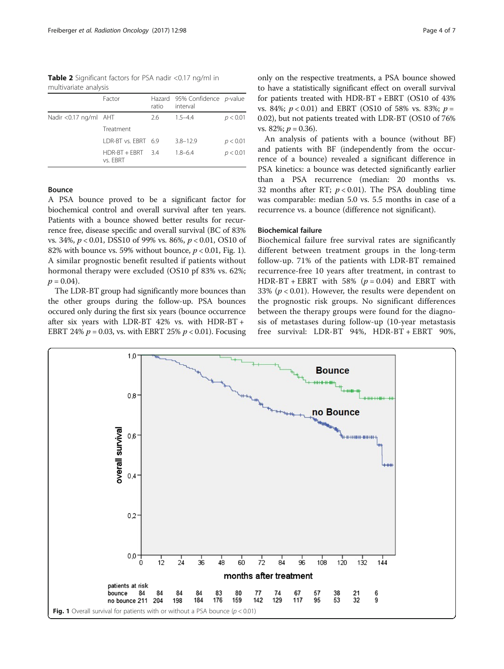<span id="page-3-0"></span>Table 2 Significant factors for PSA nadir <0.17 ng/ml in multivariate analysis

|                        | Factor                          | ratio | Hazard 95% Confidence p-value<br>interval |          |
|------------------------|---------------------------------|-------|-------------------------------------------|----------|
| Nadir < 0.17 ng/ml AHT |                                 | 2.6   | $1.5 - 4.4$                               | p < 0.01 |
|                        | Treatment                       |       |                                           |          |
|                        | I DR-BT vs. FBRT 6.9            |       | $3.8 - 12.9$                              | p < 0.01 |
|                        | $HDR-BT + FRRT$ 3.4<br>vs. FBRT |       | $1.8 - 6.4$                               | p < 0.01 |

# Bounce

A PSA bounce proved to be a significant factor for biochemical control and overall survival after ten years. Patients with a bounce showed better results for recurrence free, disease specific and overall survival (BC of 83% vs. 34%, p < 0.01, DSS10 of 99% vs. 86%, p < 0.01, OS10 of 82% with bounce vs. 59% without bounce,  $p < 0.01$ , Fig. 1). A similar prognostic benefit resulted if patients without hormonal therapy were excluded (OS10 pf 83% vs. 62%;  $p = 0.04$ ).

The LDR-BT group had significantly more bounces than the other groups during the follow-up. PSA bounces occured only during the first six years (bounce occurrence after six years with LDR-BT 42% vs. with HDR-BT + EBRT 24%  $p = 0.03$ , vs. with EBRT 25%  $p < 0.01$ ). Focusing

only on the respective treatments, a PSA bounce showed to have a statistically significant effect on overall survival for patients treated with HDR-BT + EBRT (OS10 of 43% vs. 84%;  $p < 0.01$ ) and EBRT (OS10 of 58% vs. 83%;  $p =$ 0.02), but not patients treated with LDR-BT (OS10 of 76% vs. 82%;  $p = 0.36$ ).

An analysis of patients with a bounce (without BF) and patients with BF (independently from the occurrence of a bounce) revealed a significant difference in PSA kinetics: a bounce was detected significantly earlier than a PSA recurrence (median: 20 months vs. 32 months after RT;  $p < 0.01$ ). The PSA doubling time was comparable: median 5.0 vs. 5.5 months in case of a recurrence vs. a bounce (difference not significant).

# Biochemical failure

Biochemical failure free survival rates are significantly different between treatment groups in the long-term follow-up. 71% of the patients with LDR-BT remained recurrence-free 10 years after treatment, in contrast to HDR-BT + EBRT with 58% ( $p = 0.04$ ) and EBRT with 33% ( $p < 0.01$ ). However, the results were dependent on the prognostic risk groups. No significant differences between the therapy groups were found for the diagnosis of metastases during follow-up (10-year metastasis free survival: LDR-BT 94%, HDR-BT + EBRT 90%,

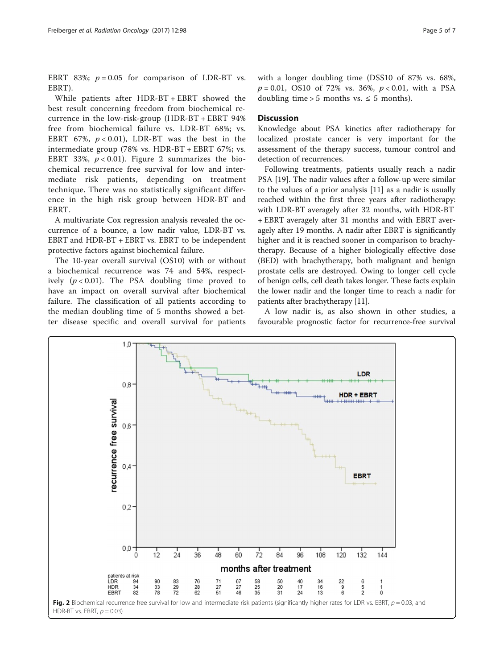EBRT 83%;  $p = 0.05$  for comparison of LDR-BT vs. EBRT).

While patients after HDR-BT + EBRT showed the best result concerning freedom from biochemical recurrence in the low-risk-group (HDR-BT + EBRT 94% free from biochemical failure vs. LDR-BT 68%; vs. EBRT 67%,  $p < 0.01$ ), LDR-BT was the best in the intermediate group (78% vs. HDR-BT + EBRT 67%; vs. EBRT 33%,  $p < 0.01$ ). Figure 2 summarizes the biochemical recurrence free survival for low and intermediate risk patients, depending on treatment technique. There was no statistically significant difference in the high risk group between HDR-BT and EBRT.

A multivariate Cox regression analysis revealed the occurrence of a bounce, a low nadir value, LDR-BT vs. EBRT and HDR-BT + EBRT vs. EBRT to be independent protective factors against biochemical failure.

The 10-year overall survival (OS10) with or without a biochemical recurrence was 74 and 54%, respectively  $(p < 0.01)$ . The PSA doubling time proved to have an impact on overall survival after biochemical failure. The classification of all patients according to the median doubling time of 5 months showed a better disease specific and overall survival for patients

```
with a longer doubling time (DSS10 of 87% vs. 68%,
p = 0.01, OS10 of 72% vs. 36%, p < 0.01, with a PSA
doubling time > 5 months vs. \leq 5 months).
```
### **Discussion**

Knowledge about PSA kinetics after radiotherapy for localized prostate cancer is very important for the assessment of the therapy success, tumour control and detection of recurrences.

Following treatments, patients usually reach a nadir PSA [\[19](#page-6-0)]. The nadir values after a follow-up were similar to the values of a prior analysis [[11\]](#page-6-0) as a nadir is usually reached within the first three years after radiotherapy: with LDR-BT averagely after 32 months, with HDR-BT + EBRT averagely after 31 months and with EBRT averagely after 19 months. A nadir after EBRT is significantly higher and it is reached sooner in comparison to brachytherapy. Because of a higher biologically effective dose (BED) with brachytherapy, both malignant and benign prostate cells are destroyed. Owing to longer cell cycle of benign cells, cell death takes longer. These facts explain the lower nadir and the longer time to reach a nadir for patients after brachytherapy [\[11\]](#page-6-0).

A low nadir is, as also shown in other studies, a favourable prognostic factor for recurrence-free survival

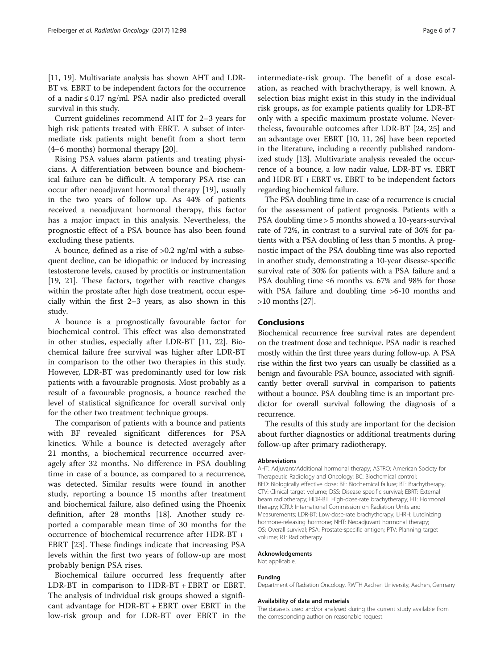[[11](#page-6-0), [19\]](#page-6-0). Multivariate analysis has shown AHT and LDR-BT vs. EBRT to be independent factors for the occurrence of a nadir ≤ 0.17 ng/ml. PSA nadir also predicted overall survival in this study.

Current guidelines recommend AHT for 2–3 years for high risk patients treated with EBRT. A subset of intermediate risk patients might benefit from a short term (4–6 months) hormonal therapy [\[20\]](#page-6-0).

Rising PSA values alarm patients and treating physicians. A differentiation between bounce and biochemical failure can be difficult. A temporary PSA rise can occur after neoadjuvant hormonal therapy [[19\]](#page-6-0), usually in the two years of follow up. As 44% of patients received a neoadjuvant hormonal therapy, this factor has a major impact in this analysis. Nevertheless, the prognostic effect of a PSA bounce has also been found excluding these patients.

A bounce, defined as a rise of >0.2 ng/ml with a subsequent decline, can be idiopathic or induced by increasing testosterone levels, caused by proctitis or instrumentation [[19](#page-6-0), [21\]](#page-6-0). These factors, together with reactive changes within the prostate after high dose treatment, occur especially within the first 2–3 years, as also shown in this study.

A bounce is a prognostically favourable factor for biochemical control. This effect was also demonstrated in other studies, especially after LDR-BT [[11, 22\]](#page-6-0). Biochemical failure free survival was higher after LDR-BT in comparison to the other two therapies in this study. However, LDR-BT was predominantly used for low risk patients with a favourable prognosis. Most probably as a result of a favourable prognosis, a bounce reached the level of statistical significance for overall survival only for the other two treatment technique groups.

The comparison of patients with a bounce and patients with BF revealed significant differences for PSA kinetics. While a bounce is detected averagely after 21 months, a biochemical recurrence occurred averagely after 32 months. No difference in PSA doubling time in case of a bounce, as compared to a recurrence, was detected. Similar results were found in another study, reporting a bounce 15 months after treatment and biochemical failure, also defined using the Phoenix definition, after 28 months [[18\]](#page-6-0). Another study reported a comparable mean time of 30 months for the occurrence of biochemical recurrence after HDR-BT + EBRT [\[23](#page-6-0)]. These findings indicate that increasing PSA levels within the first two years of follow-up are most probably benign PSA rises.

Biochemical failure occurred less frequently after LDR-BT in comparison to HDR-BT + EBRT or EBRT. The analysis of individual risk groups showed a significant advantage for HDR-BT + EBRT over EBRT in the low-risk group and for LDR-BT over EBRT in the intermediate-risk group. The benefit of a dose escalation, as reached with brachytherapy, is well known. A selection bias might exist in this study in the individual risk groups, as for example patients qualify for LDR-BT only with a specific maximum prostate volume. Nevertheless, favourable outcomes after LDR-BT [[24, 25\]](#page-6-0) and an advantage over EBRT [[10](#page-6-0), [11, 26](#page-6-0)] have been reported in the literature, including a recently published randomized study [\[13\]](#page-6-0). Multivariate analysis revealed the occurrence of a bounce, a low nadir value, LDR-BT vs. EBRT and HDR-BT + EBRT vs. EBRT to be independent factors regarding biochemical failure.

The PSA doubling time in case of a recurrence is crucial for the assessment of patient prognosis. Patients with a PSA doubling time > 5 months showed a 10-years-survival rate of 72%, in contrast to a survival rate of 36% for patients with a PSA doubling of less than 5 months. A prognostic impact of the PSA doubling time was also reported in another study, demonstrating a 10-year disease-specific survival rate of 30% for patients with a PSA failure and a PSA doubling time ≤6 months vs. 67% and 98% for those with PSA failure and doubling time >6-10 months and >10 months [\[27](#page-6-0)].

## Conclusions

Biochemical recurrence free survival rates are dependent on the treatment dose and technique. PSA nadir is reached mostly within the first three years during follow-up. A PSA rise within the first two years can usually be classified as a benign and favourable PSA bounce, associated with significantly better overall survival in comparison to patients without a bounce. PSA doubling time is an important predictor for overall survival following the diagnosis of a recurrence.

The results of this study are important for the decision about further diagnostics or additional treatments during follow-up after primary radiotherapy.

#### Abbreviations

AHT: Adjuvant/Additional hormonal therapy; ASTRO: American Society for Therapeutic Radiology and Oncology; BC: Biochemical control; BED: Biologically effective dose; BF: Biochemical failure; BT: Brachytherapy; CTV: Clinical target volume; DSS: Disease specific survival; EBRT: External beam radiotherapy; HDR-BT: High-dose-rate brachytherapy; HT: Hormonal therapy; ICRU: International Commission on Radiation Units and Measurements; LDR-BT: Low-dose-rate brachytherapy; LHRH: Luteinizing hormone-releasing hormone; NHT: Neoadjuvant hormonal therapy; OS: Overall survival; PSA: Prostate-specific antigen; PTV: Planning target volume; RT: Radiotherapy

#### Acknowledgements

Not applicable.

# Funding

Department of Radiation Oncology, RWTH Aachen University, Aachen, Germany

#### Availability of data and materials

The datasets used and/or analysed during the current study available from the corresponding author on reasonable request.